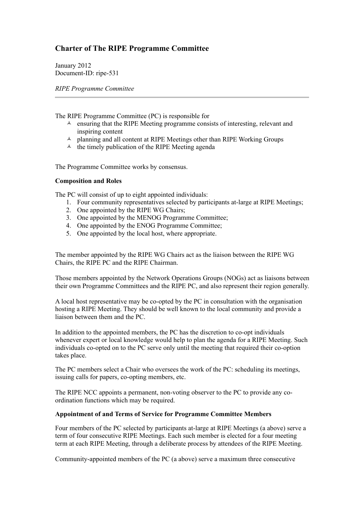## **Charter of The RIPE Programme Committee**

January 2012 Document-ID: ripe-531

*RIPE Programme Committee*

The RIPE Programme Committee (PC) is responsible for

- $\triangle$  ensuring that the RIPE Meeting programme consists of interesting, relevant and inspiring content
- $\triangle$  planning and all content at RIPE Meetings other than RIPE Working Groups
- $\lambda$  the timely publication of the RIPE Meeting agenda

The Programme Committee works by consensus.

## **Composition and Roles**

The PC will consist of up to eight appointed individuals:

- 1. Four community representatives selected by participants at-large at RIPE Meetings;
- 2. One appointed by the RIPE WG Chairs;
- 3. One appointed by the MENOG Programme Committee;
- 4. One appointed by the ENOG Programme Committee;
- 5. One appointed by the local host, where appropriate.

The member appointed by the RIPE WG Chairs act as the liaison between the RIPE WG Chairs, the RIPE PC and the RIPE Chairman.

Those members appointed by the Network Operations Groups (NOGs) act as liaisons between their own Programme Committees and the RIPE PC, and also represent their region generally.

A local host representative may be co-opted by the PC in consultation with the organisation hosting a RIPE Meeting. They should be well known to the local community and provide a liaison between them and the PC.

In addition to the appointed members, the PC has the discretion to co-opt individuals whenever expert or local knowledge would help to plan the agenda for a RIPE Meeting. Such individuals co-opted on to the PC serve only until the meeting that required their co-option takes place.

The PC members select a Chair who oversees the work of the PC: scheduling its meetings, issuing calls for papers, co-opting members, etc.

The RIPE NCC appoints a permanent, non-voting observer to the PC to provide any coordination functions which may be required.

## **Appointment of and Terms of Service for Programme Committee Members**

Four members of the PC selected by participants at-large at RIPE Meetings (a above) serve a term of four consecutive RIPE Meetings. Each such member is elected for a four meeting term at each RIPE Meeting, through a deliberate process by attendees of the RIPE Meeting.

Community-appointed members of the PC (a above) serve a maximum three consecutive